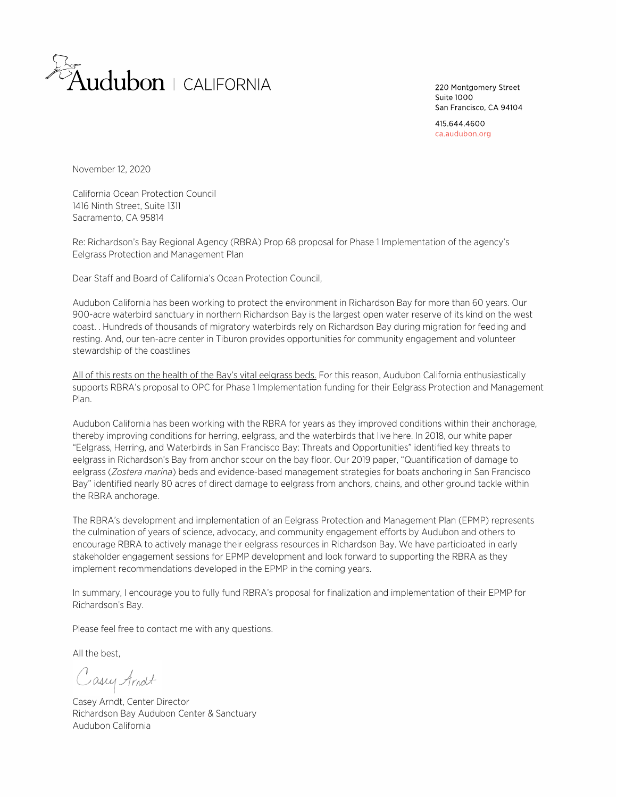

220 Montgomery Street Suite 1000 San Francisco, CA 94104

415 644 4600 ca.audubon.org

November 12, 2020

 1416 Ninth Street, Suite 1311 California Ocean Protection Council Sacramento, CA 95814

 Re: Richardson's Bay Regional Agency (RBRA) Prop 68 proposal for Phase 1 Implementation of the agency's Eelgrass Protection and Management Plan

Dear Staff and Board of California's Ocean Protection Council,

 Audubon California has been working to protect the environment in Richardson Bay for more than 60 years. Our 900-acre waterbird sanctuary in northern Richardson Bay is the largest open water reserve of its kind on the west coast. . Hundreds of thousands of migratory waterbirds rely on Richardson Bay during migration for feeding and resting. And, our ten-acre center in Tiburon provides opportunities for community engagement and volunteer stewardship of the coastlines

All of this rests on the health of the Bay's vital eelgrass beds. For this reason, Audubon California enthusiastically supports RBRA's proposal to OPC for Phase 1 Implementation funding for their Eelgrass Protection and Management Plan.

 Audubon California has been working with the RBRA for years as they improved conditions within their anchorage, thereby improving conditions for herring, eelgrass, and the waterbirds that live here. In 2018, our white paper "Eelgrass, Herring, and Waterbirds in San Francisco Bay: Threats and Opportunities" identified key threats to eelgrass in Richardson's Bay from anchor scour on the bay floor. Our 2019 paper, "Quantification of damage to eelgrass (*Zostera marina*) beds and evidence-based management strategies for boats anchoring in San Francisco Bay" identified nearly 80 acres of direct damage to eelgrass from anchors, chains, and other ground tackle within the RBRA anchorage.

 The RBRA's development and implementation of an Eelgrass Protection and Management Plan (EPMP) represents the culmination of years of science, advocacy, and community engagement efforts by Audubon and others to encourage RBRA to actively manage their eelgrass resources in Richardson Bay. We have participated in early stakeholder engagement sessions for EPMP development and look forward to supporting the RBRA as they implement recommendations developed in the EPMP in the coming years.

 In summary, I encourage you to fully fund RBRA's proposal for finalization and implementation of their EPMP for Richardson's Bay.

Please feel free to contact me with any questions.

All the best,

Casey Arnolt

 Richardson Bay Audubon Center & Sanctuary Casey Arndt, Center Director Audubon California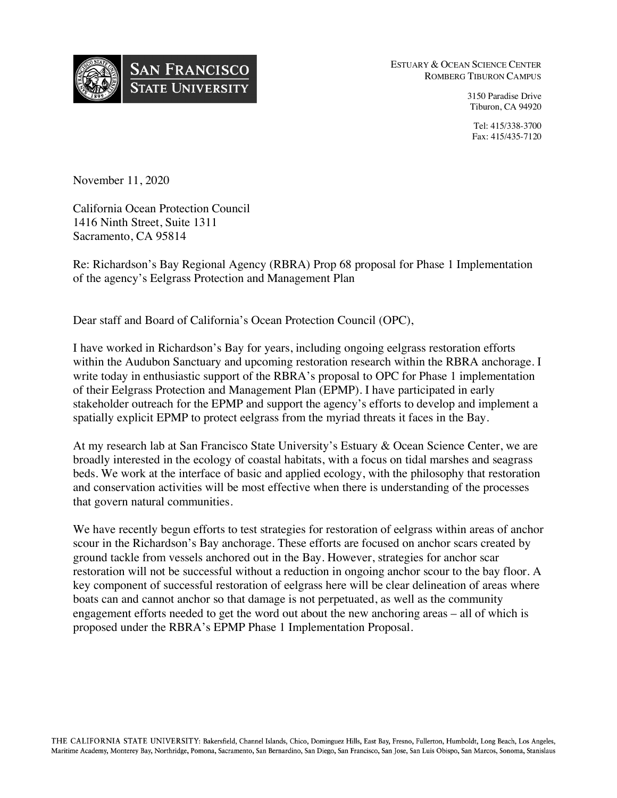

ESTUARY & OCEAN SCIENCE CENTER ROMBERG TIBURON CAMPUS

> 3150 Paradise Drive Tiburon, CA 94920

> Tel: 415/338-3700 Fax: 415/435-7120

November 11, 2020

 California Ocean Protection Council 1416 Ninth Street, Suite 1311 Sacramento, CA 95814

 Re: Richardson's Bay Regional Agency (RBRA) Prop 68 proposal for Phase 1 Implementation of the agency's Eelgrass Protection and Management Plan

Dear staff and Board of California's Ocean Protection Council (OPC),

 I have worked in Richardson's Bay for years, including ongoing eelgrass restoration efforts within the Audubon Sanctuary and upcoming restoration research within the RBRA anchorage. I write today in enthusiastic support of the RBRA's proposal to OPC for Phase 1 implementation of their Eelgrass Protection and Management Plan (EPMP). I have participated in early stakeholder outreach for the EPMP and support the agency's efforts to develop and implement a spatially explicit EPMP to protect eelgrass from the myriad threats it faces in the Bay.

 At my research lab at San Francisco State University's Estuary & Ocean Science Center, we are broadly interested in the ecology of coastal habitats, with a focus on tidal marshes and seagrass beds. We work at the interface of basic and applied ecology, with the philosophy that restoration and conservation activities will be most effective when there is understanding of the processes that govern natural communities.

 We have recently begun efforts to test strategies for restoration of eelgrass within areas of anchor scour in the Richardson's Bay anchorage. These efforts are focused on anchor scars created by ground tackle from vessels anchored out in the Bay. However, strategies for anchor scar restoration will not be successful without a reduction in ongoing anchor scour to the bay floor. A key component of successful restoration of eelgrass here will be clear delineation of areas where boats can and cannot anchor so that damage is not perpetuated, as well as the community engagement efforts needed to get the word out about the new anchoring areas – all of which is proposed under the RBRA's EPMP Phase 1 Implementation Proposal.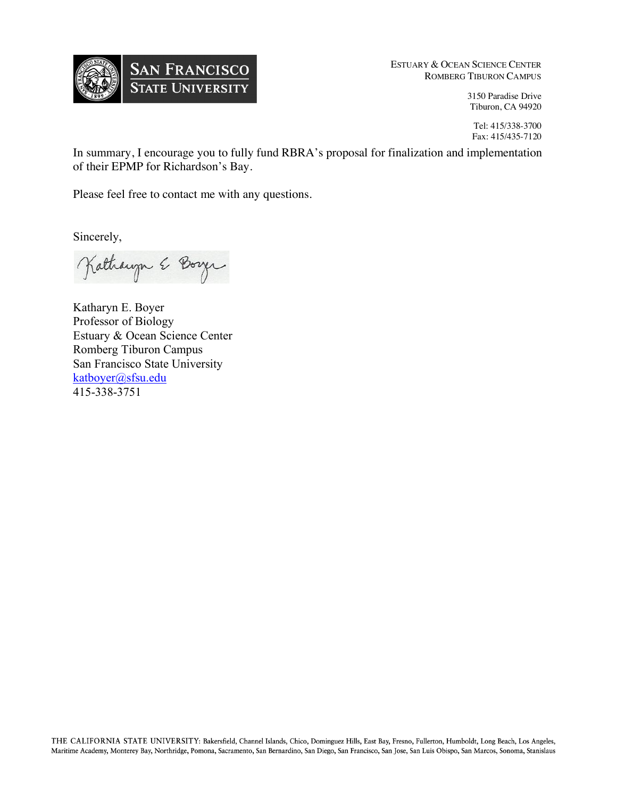

ESTUARY & OCEAN SCIENCE CENTER ROMBERG TIBURON CAMPUS

> 3150 Paradise Drive Tiburon, CA 94920

Tel: 415/338-3700 Fax: 415/435-7120

 In summary, I encourage you to fully fund RBRA's proposal for finalization and implementation of their EPMP for Richardson's Bay.

Please feel free to contact me with any questions.

Sincerely,

Lathaugh & Boyer

 Katharyn E. Boyer Professor of Biology Estuary & Ocean Science Center Romberg Tiburon Campus San Francisco State University <mark>[katboyer@sfsu.edu](mailto:katboyer@sfsu.edu)</mark><br>415-338-3751 415-338-3751